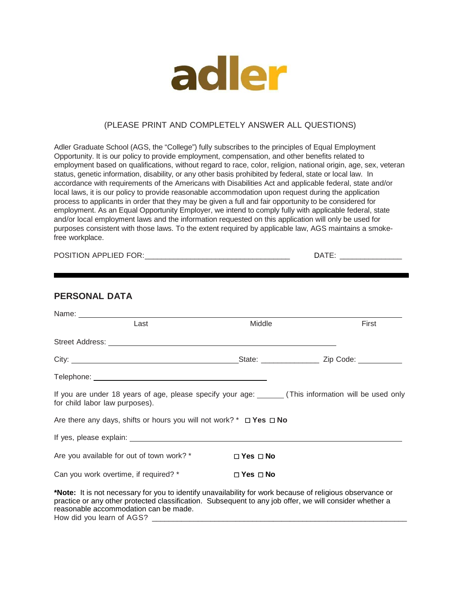

#### (PLEASE PRINT AND COMPLETELY ANSWER ALL QUESTIONS)

Adler Graduate School (AGS, the "College") fully subscribes to the principles of Equal Employment Opportunity. It is our policy to provide employment, compensation, and other benefits related to employment based on qualifications, without regard to race, color, religion, national origin, age, sex, veteran status, genetic information, disability, or any other basis prohibited by federal, state or local law. In accordance with requirements of the Americans with Disabilities Act and applicable federal, state and/or local laws, it is our policy to provide reasonable accommodation upon request during the application process to applicants in order that they may be given a full and fair opportunity to be considered for employment. As an Equal Opportunity Employer, we intend to comply fully with applicable federal, state and/or local employment laws and the information requested on this application will only be used for purposes consistent with those laws. To the extent required by applicable law, AGS maintains a smokefree workplace.

| $F \cap F \cap T$<br><b>POS</b><br>λN<br>. |  |
|--------------------------------------------|--|
|--------------------------------------------|--|

#### **PERSONAL DATA**

| Last                                                                                                                                                                                                                                                          | Middle               | First |
|---------------------------------------------------------------------------------------------------------------------------------------------------------------------------------------------------------------------------------------------------------------|----------------------|-------|
|                                                                                                                                                                                                                                                               |                      |       |
|                                                                                                                                                                                                                                                               |                      |       |
|                                                                                                                                                                                                                                                               |                      |       |
| If you are under 18 years of age, please specify your age: _______ (This information will be used only<br>for child labor law purposes).                                                                                                                      |                      |       |
| Are there any days, shifts or hours you will not work? * $\Box$ Yes $\Box$ No                                                                                                                                                                                 |                      |       |
|                                                                                                                                                                                                                                                               |                      |       |
| Are you available for out of town work? *                                                                                                                                                                                                                     | $\Box$ Yes $\Box$ No |       |
| Can you work overtime, if required? *                                                                                                                                                                                                                         | $\Box$ Yes $\Box$ No |       |
| *Note: It is not necessary for you to identify unavailability for work because of religious observance or<br>practice or any other protected classification. Subsequent to any job offer, we will consider whether a<br>reasonable accommodation can be made. |                      |       |

How did you learn of AGS? \_\_\_\_\_\_\_\_\_\_\_\_\_\_\_\_\_\_\_\_\_\_\_\_\_\_\_\_\_\_\_\_\_\_\_\_\_\_\_\_\_\_\_\_\_\_\_\_\_\_\_\_\_\_\_\_\_\_\_\_\_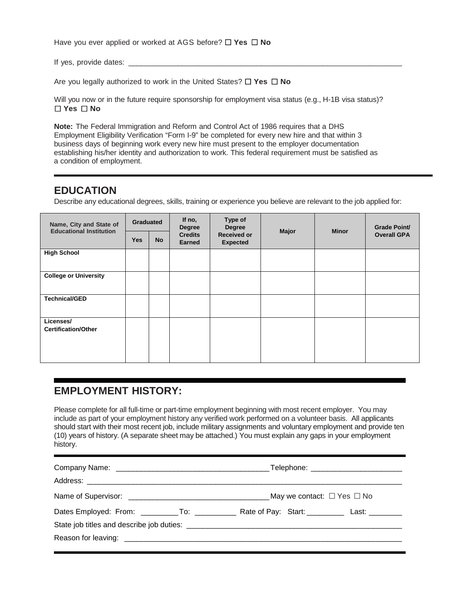Have you ever applied or worked at AGS before? ☐ **Yes** ☐ **No** 

If yes, provide dates: \_\_\_\_\_\_\_\_\_\_\_\_\_\_\_\_\_\_\_\_\_\_\_\_\_\_\_\_\_\_\_\_\_\_\_\_\_\_\_\_\_\_\_\_\_\_\_\_\_\_\_\_\_\_\_\_\_\_\_\_\_\_\_\_\_\_

Are you legally authorized to work in the United States? ☐ **Yes** ☐ **No** 

Will you now or in the future require sponsorship for employment visa status (e.g., H-1B visa status)? ☐ **Yes** ☐ **No**

**Note:** The Federal Immigration and Reform and Control Act of 1986 requires that a DHS Employment Eligibility Verification "Form I-9" be completed for every new hire and that within 3 business days of beginning work every new hire must present to the employer documentation establishing his/her identity and authorization to work. This federal requirement must be satisfied as a condition of employment.

## **EDUCATION**

Describe any educational degrees, skills, training or experience you believe are relevant to the job applied for:

| Name, City and State of<br><b>Educational Institution</b> | <b>Graduated</b> |           | If no,<br><b>Degree</b><br><b>Credits</b><br><b>Earned</b> | Type of<br><b>Degree</b><br><b>Received or</b><br><b>Expected</b> | Major | <b>Minor</b> | <b>Grade Point/</b><br><b>Overall GPA</b> |
|-----------------------------------------------------------|------------------|-----------|------------------------------------------------------------|-------------------------------------------------------------------|-------|--------------|-------------------------------------------|
|                                                           | <b>Yes</b>       | <b>No</b> |                                                            |                                                                   |       |              |                                           |
| <b>High School</b>                                        |                  |           |                                                            |                                                                   |       |              |                                           |
| <b>College or University</b>                              |                  |           |                                                            |                                                                   |       |              |                                           |
| <b>Technical/GED</b>                                      |                  |           |                                                            |                                                                   |       |              |                                           |
| Licenses/<br><b>Certification/Other</b>                   |                  |           |                                                            |                                                                   |       |              |                                           |

## **EMPLOYMENT HISTORY:**

Please complete for all full-time or part-time employment beginning with most recent employer. You may include as part of your employment history any verified work performed on a volunteer basis. All applicants should start with their most recent job, include military assignments and voluntary employment and provide ten (10) years of history. (A separate sheet may be attached.) You must explain any gaps in your employment history.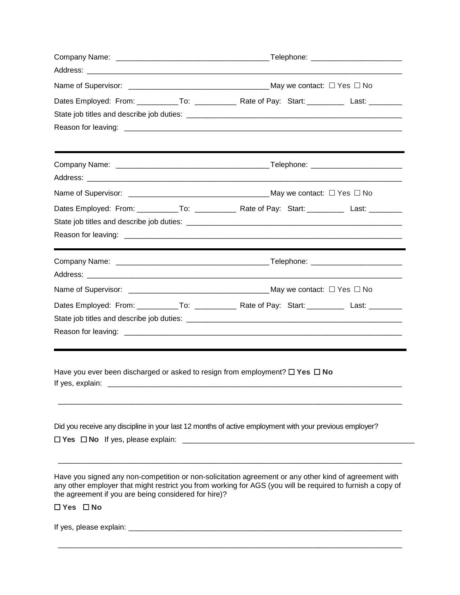| Dates Employed: From: ___________To: ______________ Rate of Pay: Start: _________ Last: _________          |  |  |
|------------------------------------------------------------------------------------------------------------|--|--|
|                                                                                                            |  |  |
|                                                                                                            |  |  |
|                                                                                                            |  |  |
|                                                                                                            |  |  |
|                                                                                                            |  |  |
| Dates Employed: From: ___________To: _____________ Rate of Pay: Start: __________ Last: _________          |  |  |
|                                                                                                            |  |  |
|                                                                                                            |  |  |
|                                                                                                            |  |  |
|                                                                                                            |  |  |
|                                                                                                            |  |  |
| Dates Employed: From: ___________To: _____________ Rate of Pay: Start: _________ Last: ________            |  |  |
|                                                                                                            |  |  |
|                                                                                                            |  |  |
|                                                                                                            |  |  |
| Have you ever been discharged or asked to resign from employment? $\Box$ Yes $\Box$ No<br>If yes, explain: |  |  |
|                                                                                                            |  |  |

\_\_\_\_\_\_\_\_\_\_\_\_\_\_\_\_\_\_\_\_\_\_\_\_\_\_\_\_\_\_\_\_\_\_\_\_\_\_\_\_\_\_\_\_\_\_\_\_\_\_\_\_\_\_\_\_\_\_\_\_\_\_\_\_\_\_\_\_\_\_\_\_\_\_\_\_\_\_\_\_\_\_\_

#### ☐ **Yes** ☐ **No**

If yes, please explain: \_\_\_\_\_\_\_\_\_\_\_\_\_\_\_\_\_\_\_\_\_\_\_\_\_\_\_\_\_\_\_\_\_\_\_\_\_\_\_\_\_\_\_\_\_\_\_\_\_\_\_\_\_\_\_\_\_\_\_\_\_\_\_\_\_\_

the agreement if you are being considered for hire)?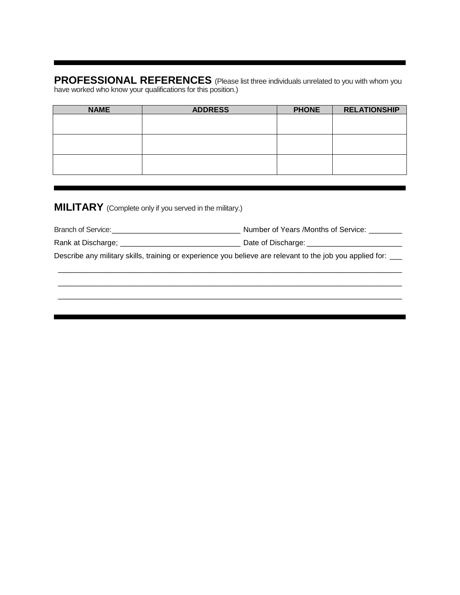**PROFESSIONAL REFERENCES** (Please list three individuals unrelated to you with whom you have worked who know your qualifications for this position.)

| <b>NAME</b> | <b>ADDRESS</b> | <b>PHONE</b> | <b>RELATIONSHIP</b> |
|-------------|----------------|--------------|---------------------|
|             |                |              |                     |
|             |                |              |                     |
|             |                |              |                     |
|             |                |              |                     |
|             |                |              |                     |
|             |                |              |                     |

## **MILITARY** (Complete only if you served in the military.)

| <b>Branch of Service:</b> | Number of Years /Months of Service: |
|---------------------------|-------------------------------------|
|                           |                                     |

| Rank at Discharge; | Date of Discharge: |
|--------------------|--------------------|
|--------------------|--------------------|

Describe any military skills, training or experience you believe are relevant to the job you applied for: \_\_\_